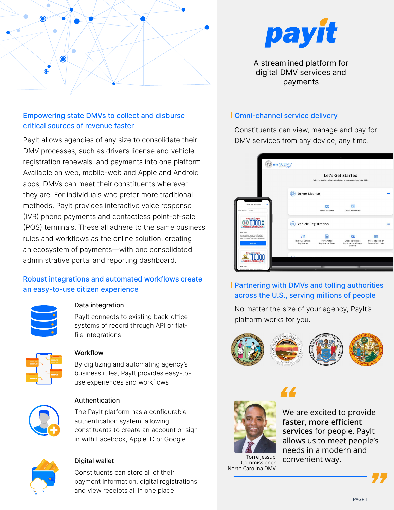

# Empowering state DMVs to collect and disburse critical sources of revenue faster

PayIt allows agencies of any size to consolidate their DMV processes, such as driver's license and vehicle registration renewals, and payments into one platform. Available on web, mobile-web and Apple and Android apps, DMVs can meet their constituents wherever they are. For individuals who prefer more traditional methods, PayIt provides interactive voice response (IVR) phone payments and contactless point-of-sale (POS) terminals. These all adhere to the same business rules and workflows as the online solution, creating an ecosystem of payments—with one consolidated administrative portal and reporting dashboard.

# Robust integrations and automated workflows create an easy-to-use citizen experience



## Data integration

PayIt connects to existing back-office systems of record through API or flatfile integrations



#### Workflow

By digitizing and automating agency's business rules, PayIt provides easy-touse experiences and workflows



#### Authentication

The PayIt platform has a configurable authentication system, allowing constituents to create an account or sign in with Facebook, Apple ID or Google



## Digital wallet

Constituents can store all of their payment information, digital registrations and view receipts all in one place



A streamlined platform for digital DMV services and payments

### Omni-channel service delivery

Constituents can view, manage and pay for DMV services from any device, any time.



# Partnering with DMVs and tolling authorities across the U.S., serving millions of people

No matter the size of your agency, PayIt's platform works for you.





Commissioner

North Carolina DMV

*M* <u>excited</u> to provide **faster, more efficient services** for people. PayIt allows us to meet people's needs in a modern and convenient way. *"*